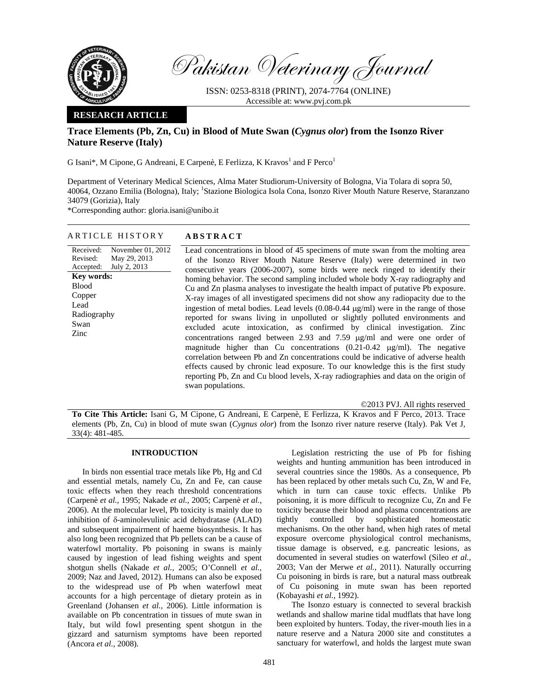

Pakistan Veterinary Journal

ISSN: 0253-8318 (PRINT), 2074-7764 (ONLINE) Accessible at: www.pvj.com.pk

## **RESEARCH ARTICLE**

# **Trace Elements (Pb, Zn, Cu) in Blood of Mute Swan (***Cygnus olor***) from the Isonzo River Nature Reserve (Italy)**

G Isani\*, M Cipone, G Andreani, E Carpenè, E Ferlizza, K Kravos<sup>1</sup> and F Perco<sup>1</sup>

Department of Veterinary Medical Sciences, Alma Mater Studiorum-University of Bologna, Via Tolara di sopra 50, 40064, Ozzano Emilia (Bologna), Italy; <sup>1</sup>Stazione Biologica Isola Cona, Isonzo River Mouth Nature Reserve, Staranzano 34079 (Gorizia), Italy

\*Corresponding author: gloria.isani@unibo.it

| Received:<br>November 01, 2012<br>Revised:<br>May 29, 2013 |                                                                                                                                                                                                                                                                                                                                                                                                                                                                                                                                                                                                                                                                                                                                                                                      |
|------------------------------------------------------------|--------------------------------------------------------------------------------------------------------------------------------------------------------------------------------------------------------------------------------------------------------------------------------------------------------------------------------------------------------------------------------------------------------------------------------------------------------------------------------------------------------------------------------------------------------------------------------------------------------------------------------------------------------------------------------------------------------------------------------------------------------------------------------------|
|                                                            | Lead concentrations in blood of 45 specimens of mute swan from the molting area                                                                                                                                                                                                                                                                                                                                                                                                                                                                                                                                                                                                                                                                                                      |
|                                                            | of the Isonzo River Mouth Nature Reserve (Italy) were determined in two                                                                                                                                                                                                                                                                                                                                                                                                                                                                                                                                                                                                                                                                                                              |
| July 2, 2013<br>Accepted:                                  | consecutive years (2006-2007), some birds were neck ringed to identify their                                                                                                                                                                                                                                                                                                                                                                                                                                                                                                                                                                                                                                                                                                         |
| <b>Key words:</b><br><b>Blood</b><br>Copper                | homing behavior. The second sampling included whole body X-ray radiography and<br>Cu and Zn plasma analyses to investigate the health impact of putative Pb exposure.                                                                                                                                                                                                                                                                                                                                                                                                                                                                                                                                                                                                                |
| Lead<br>Radiography<br>Swan<br>Zinc<br>swan populations.   | X-ray images of all investigated specimens did not show any radiopacity due to the<br>ingestion of metal bodies. Lead levels $(0.08-0.44 \mu g/ml)$ were in the range of those<br>reported for swans living in unpolluted or slightly polluted environments and<br>excluded acute intoxication, as confirmed by clinical investigation. Zinc<br>concentrations ranged between 2.93 and 7.59 $\mu$ g/ml and were one order of<br>magnitude higher than Cu concentrations $(0.21-0.42 \text{ µg/ml})$ . The negative<br>correlation between Pb and Zn concentrations could be indicative of adverse health<br>effects caused by chronic lead exposure. To our knowledge this is the first study<br>reporting Pb, Zn and Cu blood levels, X-ray radiographies and data on the origin of |

ARTICLE HISTORY **ABSTRACT** 

©2013 PVJ. All rights reserved

**To Cite This Article:** Isani G, M Cipone, G Andreani, E Carpenè, E Ferlizza, K Kravos and F Perco, 2013. Trace elements (Pb, Zn, Cu) in blood of mute swan (*Cygnus olor*) from the Isonzo river nature reserve (Italy). Pak Vet J, 33(4): 481-485.

## **INTRODUCTION**

In birds non essential trace metals like Pb, Hg and Cd and essential metals, namely Cu, Zn and Fe, can cause toxic effects when they reach threshold concentrations (Carpenè *et al.,* 1995; Nakade *et al.,* 2005; Carpenè *et al.,* 2006). At the molecular level, Pb toxicity is mainly due to inhibition of δ-aminolevulinic acid dehydratase (ALAD) and subsequent impairment of haeme biosynthesis. It has also long been recognized that Pb pellets can be a cause of waterfowl mortality. Pb poisoning in swans is mainly caused by ingestion of lead fishing weights and spent shotgun shells (Nakade *et al.,* 2005; O'Connell *et al.,* 2009; Naz and Javed, 2012). Humans can also be exposed to the widespread use of Pb when waterfowl meat accounts for a high percentage of dietary protein as in Greenland (Johansen *et al.,* 2006). Little information is available on Pb concentration in tissues of mute swan in Italy, but wild fowl presenting spent shotgun in the gizzard and saturnism symptoms have been reported (Ancora *et al.,* 2008).

Legislation restricting the use of Pb for fishing weights and hunting ammunition has been introduced in several countries since the 1980s. As a consequence, Pb has been replaced by other metals such Cu, Zn, W and Fe, which in turn can cause toxic effects. Unlike Pb poisoning, it is more difficult to recognize Cu, Zn and Fe toxicity because their blood and plasma concentrations are tightly controlled by sophisticated homeostatic mechanisms. On the other hand, when high rates of metal exposure overcome physiological control mechanisms, tissue damage is observed, e.g. pancreatic lesions, as documented in several studies on waterfowl (Sileo *et al.,* 2003; Van der Merwe *et al.,* 2011). Naturally occurring Cu poisoning in birds is rare, but a natural mass outbreak of Cu poisoning in mute swan has been reported (Kobayashi *et al.,* 1992).

The Isonzo estuary is connected to several brackish wetlands and shallow marine tidal mudflats that have long been exploited by hunters. Today, the river-mouth lies in a nature reserve and a Natura 2000 site and constitutes a sanctuary for waterfowl, and holds the largest mute swan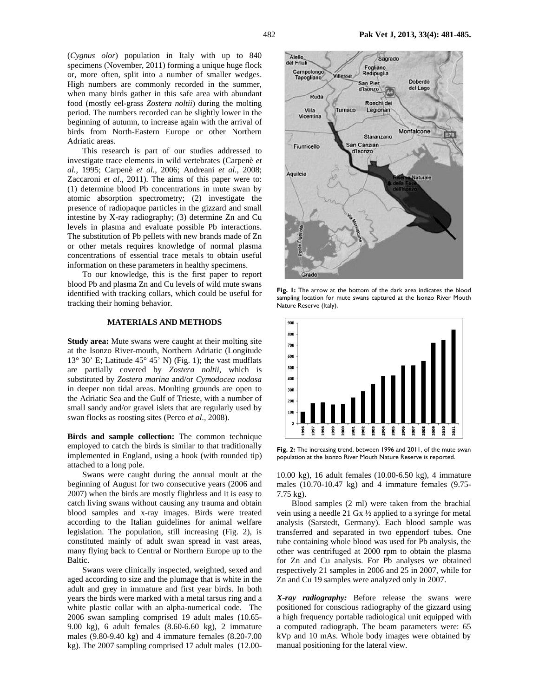(*Cygnus olor*) population in Italy with up to 840 specimens (November, 2011) forming a unique huge flock or, more often, split into a number of smaller wedges. High numbers are commonly recorded in the summer, when many birds gather in this safe area with abundant food (mostly eel-grass *Zostera noltii*) during the molting period. The numbers recorded can be slightly lower in the beginning of autumn, to increase again with the arrival of birds from North-Eastern Europe or other Northern Adriatic areas.

This research is part of our studies addressed to investigate trace elements in wild vertebrates (Carpenè *et al.,* 1995; Carpenè *et al.,* 2006; Andreani *et al.,* 2008; Zaccaroni *et al*., 2011). The aims of this paper were to: (1) determine blood Pb concentrations in mute swan by atomic absorption spectrometry; (2) investigate the presence of radiopaque particles in the gizzard and small intestine by X-ray radiography; (3) determine Zn and Cu levels in plasma and evaluate possible Pb interactions. The substitution of Pb pellets with new brands made of Zn or other metals requires knowledge of normal plasma concentrations of essential trace metals to obtain useful information on these parameters in healthy specimens.

To our knowledge, this is the first paper to report blood Pb and plasma Zn and Cu levels of wild mute swans identified with tracking collars, which could be useful for tracking their homing behavior.

## **MATERIALS AND METHODS**

**Study area:** Mute swans were caught at their molting site at the Isonzo River-mouth, Northern Adriatic (Longitude  $13^{\circ}$  30' E; Latitude  $45^{\circ}$  45' N) (Fig. 1); the vast mudflats are partially covered by *Zostera noltii*, which is substituted by *Zostera marina* and/or *Cymodocea nodosa* in deeper non tidal areas. Moulting grounds are open to the Adriatic Sea and the Gulf of Trieste, with a number of small sandy and/or gravel islets that are regularly used by swan flocks as roosting sites (Perco *et al.,* 2008).

**Birds and sample collection:** The common technique employed to catch the birds is similar to that traditionally implemented in England, using a hook (with rounded tip) attached to a long pole.

Swans were caught during the annual moult at the beginning of August for two consecutive years (2006 and 2007) when the birds are mostly flightless and it is easy to catch living swans without causing any trauma and obtain blood samples and x-ray images. Birds were treated according to the Italian guidelines for animal welfare legislation. The population, still increasing (Fig. 2), is constituted mainly of adult swan spread in vast areas, many flying back to Central or Northern Europe up to the Baltic.

Swans were clinically inspected, weighted, sexed and aged according to size and the plumage that is white in the adult and grey in immature and first year birds. In both years the birds were marked with a metal tarsus ring and a white plastic collar with an alpha-numerical code. The 2006 swan sampling comprised 19 adult males (10.65- 9.00 kg), 6 adult females (8.60-6.60 kg), 2 immature males (9.80-9.40 kg) and 4 immature females (8.20-7.00 kg). The 2007 sampling comprised 17 adult males (12.00-



**Fig. 1:** The arrow at the bottom of the dark area indicates the blood sampling location for mute swans captured at the Isonzo River Mouth Nature Reserve (Italy).



**Fig. 2:** The increasing trend, between 1996 and 2011, of the mute swan population at the Isonzo River Mouth Nature Reserve is reported.

10.00 kg), 16 adult females (10.00-6.50 kg), 4 immature males (10.70-10.47 kg) and 4 immature females (9.75- 7.75 kg).

Blood samples (2 ml) were taken from the brachial vein using a needle 21 Gx ½ applied to a syringe for metal analysis (Sarstedt, Germany). Each blood sample was transferred and separated in two eppendorf tubes. One tube containing whole blood was used for Pb analysis, the other was centrifuged at 2000 rpm to obtain the plasma for Zn and Cu analysis. For Pb analyses we obtained respectively 21 samples in 2006 and 25 in 2007, while for Zn and Cu 19 samples were analyzed only in 2007.

*X-ray radiography:* Before release the swans were positioned for conscious radiography of the gizzard using a high frequency portable radiological unit equipped with a computed radiograph. The beam parameters were: 65 kVp and 10 mAs. Whole body images were obtained by manual positioning for the lateral view.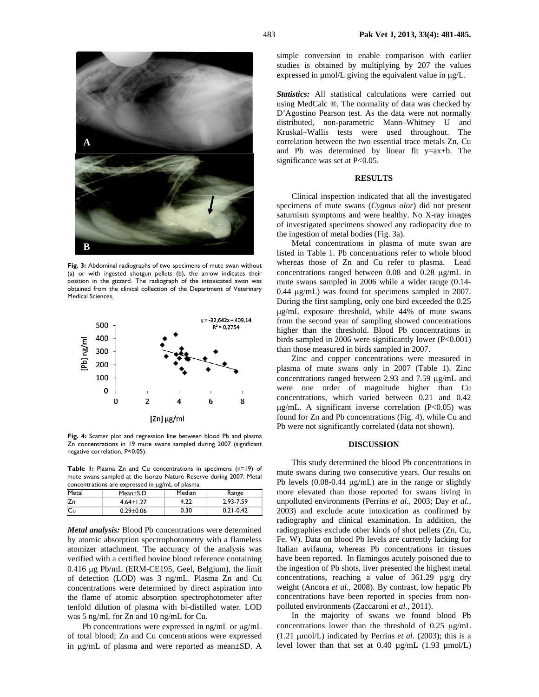

**Fig. 3:** Abdominal radiographs of two specimens of mute swan without (a) or with ingested shotgun pellets (b), the arrow indicates their position in the gizzard. The radiograph of the intoxicated swan was obtained from the clinical collection of the Department of Veterinary Medical Sciences.



Fig. 4: Scatter plot and regression line between blood Pb and plasma Zn concentrations in 19 mute swans sampled during 2007 (significant negative correlation, P<0.05).

**Table 1:** Plasma Zn and Cu concentrations in specimens (n=19) of mute swans sampled at the Isonzo Nature Reserve during 2007. Metal  $\sim$  concessed in  $\mu$ g/mL of plasm

| concentrations are expressed in ug/mL or plasma. |               |        |               |  |
|--------------------------------------------------|---------------|--------|---------------|--|
| Metal                                            | $Mean+SD.$    | Median | Range         |  |
| <b>Zn</b>                                        | $4.64 + 1.27$ | 4.22   | 2.93-7.59     |  |
| lCu                                              | $0.29 + 0.06$ | 0.30   | $0.21 - 0.42$ |  |

*Metal analysis:* Blood Pb concentrations were determined by atomic absorption spectrophotometry with a flameless atomizer attachment. The accuracy of the analysis was verified with a certified bovine blood reference containing 0.416 µg Pb/mL (ERM-CE195, Geel, Belgium), the limit of detection (LOD) was 3 ng/mL. Plasma Zn and Cu concentrations were determined by direct aspiration into the flame of atomic absorption spectrophotometer after tenfold dilution of plasma with bi-distilled water. LOD was 5 ng/mL for Zn and 10 ng/mL for Cu.

Pb concentrations were expressed in ng/mL or  $\mu$ g/mL of total blood; Zn and Cu concentrations were expressed in µg/mL of plasma and were reported as mean±SD. A

simple conversion to enable comparison with earlier studies is obtained by multiplying by 207 the values expressed in µmol/L giving the equivalent value in µg/L.

*Statistics:* All statistical calculations were carried out using MedCalc ®. The normality of data was checked by D'Agostino Pearson test. As the data were not normally distributed, non-parametric Mann–Whitney U and Kruskal–Wallis tests were used throughout. The correlation between the two essential trace metals Zn, Cu and Pb was determined by linear fit y=ax+b. The significance was set at P<0.05.

#### **RESULTS**

Clinical inspection indicated that all the investigated specimens of mute swans (*Cygnus olor*) did not present saturnism symptoms and were healthy. No X-ray images of investigated specimens showed any radiopacity due to the ingestion of metal bodies (Fig. 3a).

Metal concentrations in plasma of mute swan are listed in Table 1. Pb concentrations refer to whole blood whereas those of Zn and Cu refer to plasma. Lead concentrations ranged between 0.08 and 0.28 µg/mL in mute swans sampled in 2006 while a wider range (0.14- 0.44 µg/mL) was found for specimens sampled in 2007. During the first sampling, only one bird exceeded the 0.25 µg/mL exposure threshold, while 44% of mute swans from the second year of sampling showed concentrations higher than the threshold. Blood Pb concentrations in birds sampled in 2006 were significantly lower (P<0.001) than those measured in birds sampled in 2007.

Zinc and copper concentrations were measured in plasma of mute swans only in 2007 (Table 1). Zinc concentrations ranged between 2.93 and 7.59 µg/mL and were one order of magnitude higher than Cu concentrations, which varied between 0.21 and 0.42  $\mu$ g/mL. A significant inverse correlation (P<0.05) was found for Zn and Pb concentrations (Fig. 4), while Cu and Pb were not significantly correlated (data not shown).

### **DISCUSSION**

This study determined the blood Pb concentrations in mute swans during two consecutive years. Our results on Pb levels  $(0.08-0.44 \mu g/mL)$  are in the range or slightly more elevated than those reported for swans living in unpolluted environments (Perrins *et al.,* 2003; Day *et al.,* 2003) and exclude acute intoxication as confirmed by radiography and clinical examination. In addition, the radiographies exclude other kinds of shot pellets (Zn, Cu, Fe, W). Data on blood Pb levels are currently lacking for Italian avifauna, whereas Pb concentrations in tissues have been reported. In flamingos acutely poisoned due to the ingestion of Pb shots, liver presented the highest metal concentrations, reaching a value of 361.29 µg/g dry weight (Ancora *et al.,* 2008). By contrast, low hepatic Pb concentrations have been reported in species from nonpolluted environments (Zaccaroni *et al.,* 2011).

In the majority of swans we found blood Pb concentrations lower than the threshold of 0.25 µg/mL (1.21  $\mu$ mol/L) indicated by Perrins *et al.* (2003); this is a level lower than that set at  $0.40 \mu g/mL$  (1.93  $\mu$ mol/L)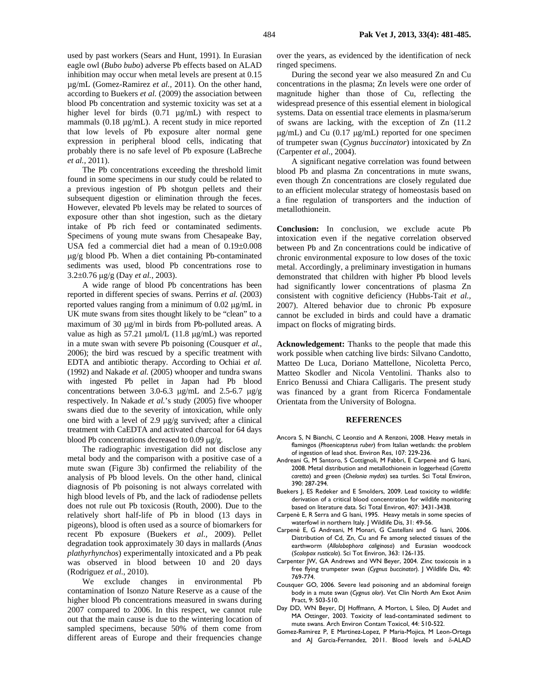used by past workers (Sears and Hunt, 1991). In Eurasian eagle owl (*Bubo bubo*) adverse Pb effects based on ALAD inhibition may occur when metal levels are present at 0.15 µg/mL (Gomez-Ramirez *et al.,* 2011). On the other hand, according to Buekers *et al.* (2009) the association between blood Pb concentration and systemic toxicity was set at a higher level for birds  $(0.71 \text{ µg/mL})$  with respect to mammals (0.18  $\mu$ g/mL). A recent study in mice reported that low levels of Pb exposure alter normal gene expression in peripheral blood cells, indicating that probably there is no safe level of Pb exposure (LaBreche *et al.,* 2011).

The Pb concentrations exceeding the threshold limit found in some specimens in our study could be related to a previous ingestion of Pb shotgun pellets and their subsequent digestion or elimination through the feces. However, elevated Pb levels may be related to sources of exposure other than shot ingestion, such as the dietary intake of Pb rich feed or contaminated sediments. Specimens of young mute swans from Chesapeake Bay, USA fed a commercial diet had a mean of 0.19±0.008 µg/g blood Pb. When a diet containing Pb-contaminated sediments was used, blood Pb concentrations rose to 3.2±0.76 µg/g (Day *et al.,* 2003).

A wide range of blood Pb concentrations has been reported in different species of swans. Perrins *et al.* (2003) reported values ranging from a minimum of 0.02 µg/mL in UK mute swans from sites thought likely to be "clean" to a maximum of 30 µg/ml in birds from Pb-polluted areas. A value as high as 57.21 µmol/L (11.8 µg/mL) was reported in a mute swan with severe Pb poisoning (Cousquer *et al.,* 2006); the bird was rescued by a specific treatment with EDTA and antibiotic therapy. According to Ochiai *et al.* (1992) and Nakade *et al.* (2005) whooper and tundra swans with ingested Pb pellet in Japan had Pb blood concentrations between 3.0-6.3 µg/mL and 2.5-6.7 µg/g respectively. In Nakade *et al.*'s study (2005) five whooper swans died due to the severity of intoxication, while only one bird with a level of 2.9 µg/g survived; after a clinical treatment with CaEDTA and activated charcoal for 64 days blood Pb concentrations decreased to 0.09 µg/g.

The radiographic investigation did not disclose any metal body and the comparison with a positive case of a mute swan (Figure 3b) confirmed the reliability of the analysis of Pb blood levels. On the other hand, clinical diagnosis of Pb poisoning is not always correlated with high blood levels of Pb, and the lack of radiodense pellets does not rule out Pb toxicosis (Routh, 2000). Due to the relatively short half-life of Pb in blood (13 days in pigeons), blood is often used as a source of biomarkers for recent Pb exposure (Buekers *et al.,* 2009). Pellet degradation took approximately 30 days in mallards (*Anas plathyrhynchos*) experimentally intoxicated and a Pb peak was observed in blood between 10 and 20 days (Rodriguez *et al.,* 2010).

We exclude changes in environmental Pb contamination of Isonzo Nature Reserve as a cause of the higher blood Pb concentrations measured in swans during 2007 compared to 2006. In this respect, we cannot rule out that the main cause is due to the wintering location of sampled specimens, because 50% of them come from different areas of Europe and their frequencies change

over the years, as evidenced by the identification of neck ringed specimens.

During the second year we also measured Zn and Cu concentrations in the plasma; Zn levels were one order of magnitude higher than those of Cu, reflecting the widespread presence of this essential element in biological systems. Data on essential trace elements in plasma/serum of swans are lacking, with the exception of Zn (11.2  $\mu$ g/mL) and Cu (0.17  $\mu$ g/mL) reported for one specimen of trumpeter swan (*Cygnus buccinator*) intoxicated by Zn (Carpenter *et al.,* 2004).

A significant negative correlation was found between blood Pb and plasma Zn concentrations in mute swans, even though Zn concentrations are closely regulated due to an efficient molecular strategy of homeostasis based on a fine regulation of transporters and the induction of metallothionein.

**Conclusion:** In conclusion, we exclude acute Pb intoxication even if the negative correlation observed between Pb and Zn concentrations could be indicative of chronic environmental exposure to low doses of the toxic metal. Accordingly, a preliminary investigation in humans demonstrated that children with higher Pb blood levels had significantly lower concentrations of plasma Zn consistent with cognitive deficiency (Hubbs-Tait *et al.,* 2007). Altered behavior due to chronic Pb exposure cannot be excluded in birds and could have a dramatic impact on flocks of migrating birds.

**Acknowledgement:** Thanks to the people that made this work possible when catching live birds: Silvano Candotto, Matteo De Luca, Doriano Mattellone, Nicoletta Perco, Matteo Skodler and Nicola Ventolini. Thanks also to Enrico Benussi and Chiara Calligaris. The present study was financed by a grant from Ricerca Fondamentale Orientata from the University of Bologna.

### **REFERENCES**

- Ancora S, N Bianchi, C Leonzio and A Renzoni, 2008. Heavy metals in flamingos (*Phoenicopterus ruber*) from Italian wetlands: the problem of ingestion of lead shot. Environ Res, 107: 229-236.
- Andreani G, M Santoro, S Cottignoli, M Fabbri, E Carpenè and G Isani, 2008. Metal distribution and metallothionein in loggerhead (*Caretta caretta*) and green (*Chelonia mydas*) sea turtles. Sci Total Environ, 390: 287-294.
- Buekers J, ES Redeker and E Smolders, 2009. Lead toxicity to wildlife: derivation of a critical blood concentration for wildlife monitoring based on literature data. Sci Total Environ, 407: 3431-3438.
- Carpenè E, R Serra and G Isani, 1995. Heavy metals in some species of waterfowl in northern Italy. J Wildlife Dis, 31: 49-56.
- Carpenè E, G Andreani, M Monari, G Castellani and G Isani, 2006. Distribution of Cd, Zn, Cu and Fe among selected tissues of the earthworm (*Allolobophora caliginosa*) and Eurasian woodcock (*Scolopax rusticola*). Sci Tot Environ, 363: 126-135.
- Carpenter JW, GA Andrews and WN Beyer, 2004. Zinc toxicosis in a free flying trumpeter swan (*Cygnus buccinator*). J Wildlife Dis, 40: 769-774.
- Cousquer GO, 2006. Severe lead poisoning and an abdominal foreign body in a mute swan (*Cygnus olor*). Vet Clin North Am Exot Anim Pract, 9: 503-510.
- Day DD, WN Beyer, DJ Hoffmann, A Morton, L Sileo, DJ Audet and MA Ottinger, 2003. Toxicity of lead-contaminated sediment to mute swans. Arch Environ Contam Toxicol, 44: 510-522.
- Gomez-Ramirez P, E Martinez-Lopez, P Maria-Mojica, M Leon-Ortega and AJ Garcia-Fernandez, 2011. Blood levels and δ-ALAD